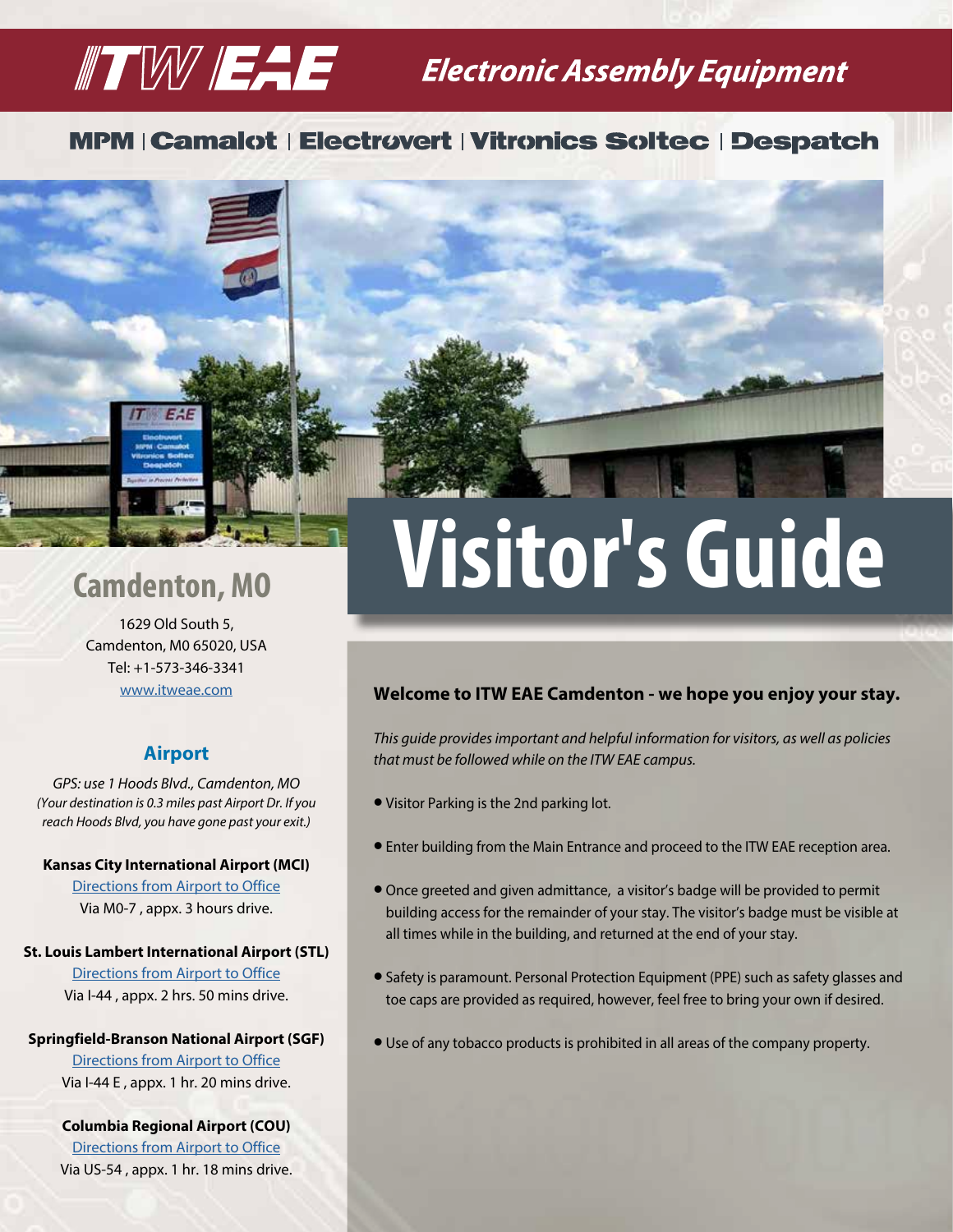## **TW EAF** Electronic Assembly Equipment

### **MPM | Camalot | Electrovert | Vitronics Soltec | Despatch**



1629 Old South 5, Camdenton, M0 65020, USA Tel: +1-573-346-3341 www.itweae.com

#### **Airport**

*GPS: use 1 Hoods Blvd., Camdenton, MO (Your destination is 0.3 miles past Airport Dr. If you reach Hoods Blvd, you have gone past your exit.)*

#### **Kansas City International Airport (MCI)**

Directions from Airport to Office Via M0-7 , appx. 3 hours drive.

#### **St. Louis Lambert International Airport (STL)**

Directions from Airport to Office Via I-44 , appx. 2 hrs. 50 mins drive.

#### **Springfield-Branson National Airport (SGF)**

Directions from Airport to Office Via I-44 E , appx. 1 hr. 20 mins drive.

#### **Columbia Regional Airport (COU)**

Directions from Airport to Office Via US-54 , appx. 1 hr. 18 mins drive.

# **Camdenton, MO Visitor's Guide**

#### **Welcome to ITW EAE Camdenton - we hope you enjoy your stay.**

*This guide provides important and helpful information for visitors, as well as policies that must be followed while on the ITW EAE campus.*

- l Visitor Parking is the 2nd parking lot.
- **•** Enter building from the Main Entrance and proceed to the ITW EAE reception area.
- l Once greeted and given admittance, a visitor's badge will be provided to permit building access for the remainder of your stay. The visitor's badge must be visible at all times while in the building, and returned at the end of your stay.
- Safety is paramount. Personal Protection Equipment (PPE) such as safety glasses and toe caps are provided as required, however, feel free to bring your own if desired.
- **•** Use of any tobacco products is prohibited in all areas of the company property.